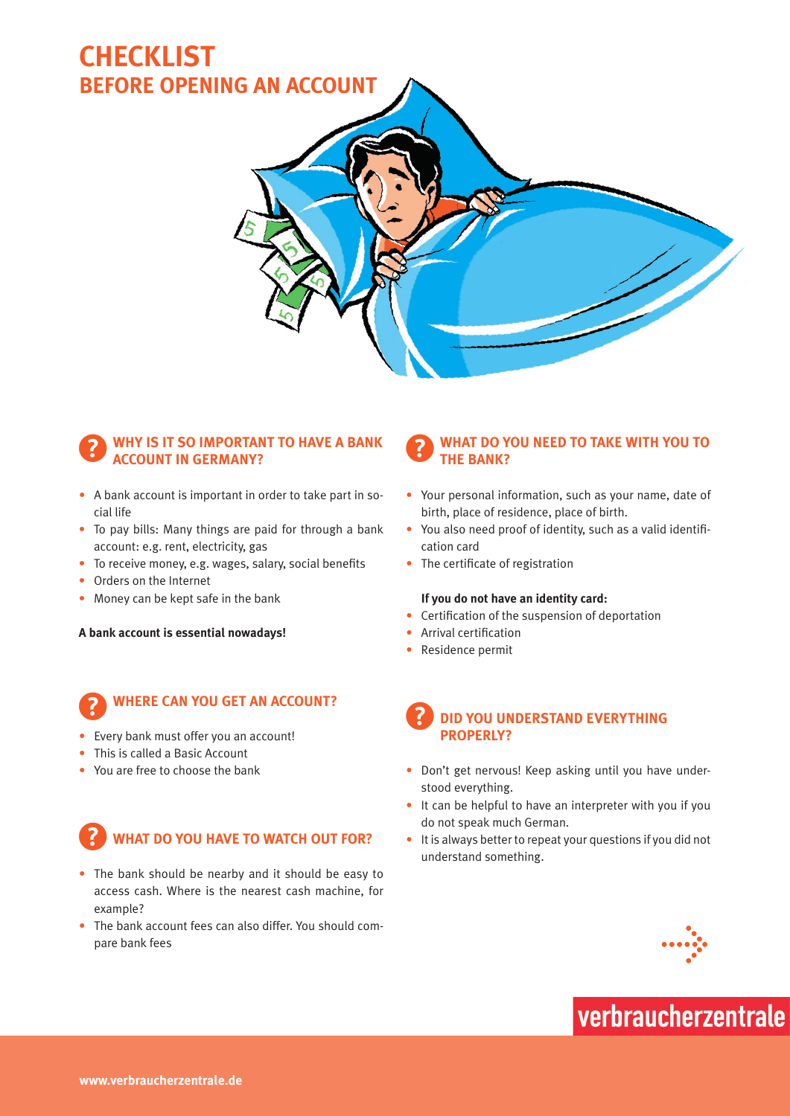## **Checklist Before opening an account**



#### ?**Why is it so important to have a bank account in Germany?**

- A bank account is important in order to take part in social life
- To pay bills: Many things are paid for through a bank account: e.g. rent, electricity, gas
- To receive money, e.g. wages, salary, social benefits
- Orders on the Internet
- Money can be kept safe in the bank

**A bank account is essential nowadays!**

#### ?**Where can you get an account?**

- Every bank must offer you an account!
- This is called a Basic Account
- You are free to choose the bank

### **WHAT DO YOU HAVE TO WATCH OUT FOR?**

- The bank should be nearby and it should be easy to access cash. Where is the nearest cash machine, for example?
- The bank account fees can also differ. You should compare bank fees

#### ?**What do you need to take with you to THE BANK?**

- Your personal information, such as your name, date of birth, place of residence, place of birth.
- You also need proof of identity, such as a valid identification card
- The certificate of registration

#### **If you do not have an identity card:**

- • Certification of the suspension of deportation
- Arrival certification
- Residence permit

#### ?**Did you understand everything properly?**

- Don't get nervous! Keep asking until you have understood everything.
- It can be helpful to have an interpreter with you if you do not speak much German.
- It is always better to repeat your questions if you did not understand something.



# verbraucherzentrale